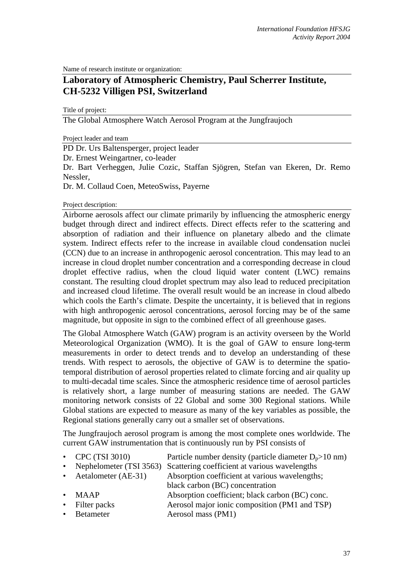Name of research institute or organization:

# **Laboratory of Atmospheric Chemistry, Paul Scherrer Institute, CH-5232 Villigen PSI, Switzerland**

Title of project:

The Global Atmosphere Watch Aerosol Program at the Jungfraujoch

Project leader and team

PD Dr. Urs Baltensperger, project leader

Dr. Ernest Weingartner, co-leader

Dr. Bart Verheggen, Julie Cozic, Staffan Sjögren, Stefan van Ekeren, Dr. Remo Nessler,

Dr. M. Collaud Coen, MeteoSwiss, Payerne

Project description:

Airborne aerosols affect our climate primarily by influencing the atmospheric energy budget through direct and indirect effects. Direct effects refer to the scattering and absorption of radiation and their influence on planetary albedo and the climate system. Indirect effects refer to the increase in available cloud condensation nuclei (CCN) due to an increase in anthropogenic aerosol concentration. This may lead to an increase in cloud droplet number concentration and a corresponding decrease in cloud droplet effective radius, when the cloud liquid water content (LWC) remains constant. The resulting cloud droplet spectrum may also lead to reduced precipitation and increased cloud lifetime. The overall result would be an increase in cloud albedo which cools the Earth's climate. Despite the uncertainty, it is believed that in regions with high anthropogenic aerosol concentrations, aerosol forcing may be of the same magnitude, but opposite in sign to the combined effect of all greenhouse gases.

The Global Atmosphere Watch (GAW) program is an activity overseen by the World Meteorological Organization (WMO). It is the goal of GAW to ensure long-term measurements in order to detect trends and to develop an understanding of these trends. With respect to aerosols, the objective of GAW is to determine the spatiotemporal distribution of aerosol properties related to climate forcing and air quality up to multi-decadal time scales. Since the atmospheric residence time of aerosol particles is relatively short, a large number of measuring stations are needed. The GAW monitoring network consists of 22 Global and some 300 Regional stations. While Global stations are expected to measure as many of the key variables as possible, the Regional stations generally carry out a smaller set of observations.

The Jungfraujoch aerosol program is among the most complete ones worldwide. The current GAW instrumentation that is continuously run by PSI consists of

- CPC (TSI 3010) Particle number density (particle diameter  $D_p > 10$  nm)
	- Nephelometer (TSI 3563) Scattering coefficient at various wavelengths
- Aetalometer (AE-31) Absorption coefficient at various wavelengths:
	- black carbon (BC) concentration
- MAAP Absorption coefficient; black carbon (BC) conc.
- Filter packs Aerosol major ionic composition (PM1 and TSP)
- **Betameter Aerosol mass (PM1)**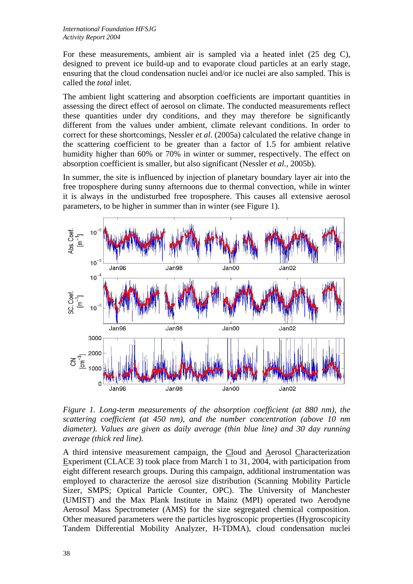For these measurements, ambient air is sampled via a heated inlet (25 deg C), designed to prevent ice build-up and to evaporate cloud particles at an early stage, ensuring that the cloud condensation nuclei and/or ice nuclei are also sampled. This is called the *total* inlet.

The ambient light scattering and absorption coefficients are important quantities in assessing the direct effect of aerosol on climate. The conducted measurements reflect these quantities under dry conditions, and they may therefore be significantly different from the values under ambient, climate relevant conditions. In order to correct for these shortcomings, Nessler *et al.* (2005a) calculated the relative change in the scattering coefficient to be greater than a factor of 1.5 for ambient relative humidity higher than 60% or 70% in winter or summer, respectively. The effect on absorption coefficient is smaller, but also significant (Nessler *et al.,* 2005b).

In summer, the site is influenced by injection of planetary boundary layer air into the free troposphere during sunny afternoons due to thermal convection, while in winter it is always in the undisturbed free troposphere. This causes all extensive aerosol parameters, to be higher in summer than in winter (see Figure 1).



*Figure 1. Long-term measurements of the absorption coefficient (at 880 nm), the scattering coefficient (at 450 nm), and the number concentration (above 10 nm diameter). Values are given as daily average (thin blue line) and 30 day running average (thick red line).*

A third intensive measurement campaign, the Cloud and Aerosol Characterization Experiment (CLACE 3) took place from March 1 to 31, 2004, with participation from eight different research groups. During this campaign, additional instrumentation was employed to characterize the aerosol size distribution (Scanning Mobility Particle Sizer, SMPS; Optical Particle Counter, OPC). The University of Manchester (UMIST) and the Max Plank Institute in Mainz (MPI) operated two Aerodyne Aerosol Mass Spectrometer (AMS) for the size segregated chemical composition. Other measured parameters were the particles hygroscopic properties (Hygroscopicity Tandem Differential Mobility Analyzer, H-TDMA), cloud condensation nuclei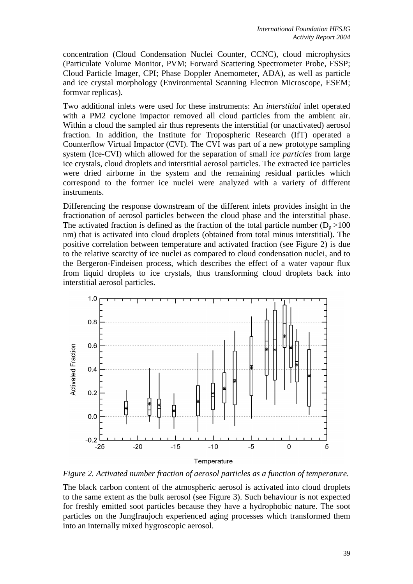concentration (Cloud Condensation Nuclei Counter, CCNC), cloud microphysics (Particulate Volume Monitor, PVM; Forward Scattering Spectrometer Probe, FSSP; Cloud Particle Imager, CPI; Phase Doppler Anemometer, ADA), as well as particle and ice crystal morphology (Environmental Scanning Electron Microscope, ESEM; formvar replicas).

Two additional inlets were used for these instruments: An *interstitial* inlet operated with a PM2 cyclone impactor removed all cloud particles from the ambient air. Within a cloud the sampled air thus represents the interstitial (or unactivated) aerosol fraction. In addition, the Institute for Tropospheric Research (IfT) operated a Counterflow Virtual Impactor (CVI). The CVI was part of a new prototype sampling system (Ice-CVI) which allowed for the separation of small *ice particles* from large ice crystals, cloud droplets and interstitial aerosol particles. The extracted ice particles were dried airborne in the system and the remaining residual particles which correspond to the former ice nuclei were analyzed with a variety of different instruments.

Differencing the response downstream of the different inlets provides insight in the fractionation of aerosol particles between the cloud phase and the interstitial phase. The activated fraction is defined as the fraction of the total particle number  $(D_n > 100$ nm) that is activated into cloud droplets (obtained from total minus interstitial). The positive correlation between temperature and activated fraction (see Figure 2) is due to the relative scarcity of ice nuclei as compared to cloud condensation nuclei, and to the Bergeron-Findeisen process, which describes the effect of a water vapour flux from liquid droplets to ice crystals, thus transforming cloud droplets back into interstitial aerosol particles.



*Figure 2. Activated number fraction of aerosol particles as a function of temperature.* 

The black carbon content of the atmospheric aerosol is activated into cloud droplets to the same extent as the bulk aerosol (see Figure 3). Such behaviour is not expected for freshly emitted soot particles because they have a hydrophobic nature. The soot particles on the Jungfraujoch experienced aging processes which transformed them into an internally mixed hygroscopic aerosol.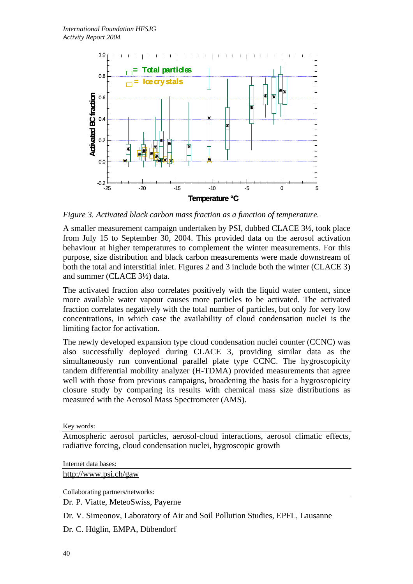

*Figure 3. Activated black carbon mass fraction as a function of temperature.* 

A smaller measurement campaign undertaken by PSI, dubbed CLACE 3½, took place from July 15 to September 30, 2004. This provided data on the aerosol activation behaviour at higher temperatures to complement the winter measurements. For this purpose, size distribution and black carbon measurements were made downstream of both the total and interstitial inlet. Figures 2 and 3 include both the winter (CLACE 3) and summer (CLACE 3½) data.

The activated fraction also correlates positively with the liquid water content, since more available water vapour causes more particles to be activated. The activated fraction correlates negatively with the total number of particles, but only for very low concentrations, in which case the availability of cloud condensation nuclei is the limiting factor for activation.

The newly developed expansion type cloud condensation nuclei counter (CCNC) was also successfully deployed during CLACE 3, providing similar data as the simultaneously run conventional parallel plate type CCNC. The hygroscopicity tandem differential mobility analyzer (H-TDMA) provided measurements that agree well with those from previous campaigns, broadening the basis for a hygroscopicity closure study by comparing its results with chemical mass size distributions as measured with the Aerosol Mass Spectrometer (AMS).

Key words:

Atmospheric aerosol particles, aerosol-cloud interactions, aerosol climatic effects, radiative forcing, cloud condensation nuclei, hygroscopic growth

Internet data bases:

[http://www.psi.ch/gaw](http://psi.ch/gaw)

Collaborating partners/networks:

Dr. P. Viatte, MeteoSwiss, Payerne

Dr. V. Simeonov, Laboratory of Air and Soil Pollution Studies, EPFL, Lausanne

Dr. C. Hüglin, EMPA, Dübendorf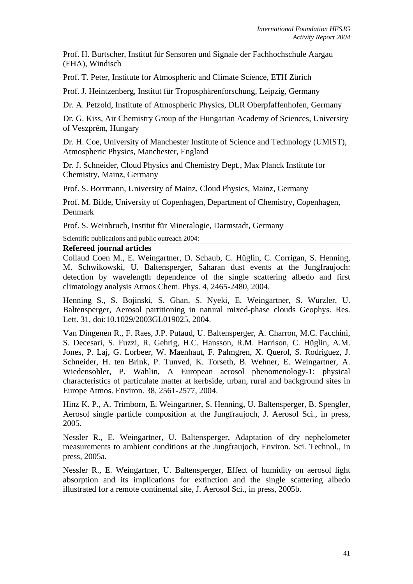Prof. H. Burtscher, Institut für Sensoren und Signale der Fachhochschule Aargau (FHA), Windisch

Prof. T. Peter, Institute for Atmospheric and Climate Science, ETH Zürich

Prof. J. Heintzenberg, Institut für Troposphärenforschung, Leipzig, Germany

Dr. A. Petzold, Institute of Atmospheric Physics, DLR Oberpfaffenhofen, Germany

Dr. G. Kiss, Air Chemistry Group of the Hungarian Academy of Sciences, University of Veszprém, Hungary

Dr. H. Coe, University of Manchester Institute of Science and Technology (UMIST), Atmospheric Physics, Manchester, England

Dr. J. Schneider, Cloud Physics and Chemistry Dept., Max Planck Institute for Chemistry, Mainz, Germany

Prof. S. Borrmann, University of Mainz, Cloud Physics, Mainz, Germany

Prof. M. Bilde, University of Copenhagen, Department of Chemistry, Copenhagen, Denmark

Prof. S. Weinbruch, Institut für Mineralogie, Darmstadt, Germany

Scientific publications and public outreach 2004:

#### **Refereed journal articles**

Collaud Coen M., E. Weingartner, D. Schaub, C. Hüglin, C. Corrigan, S. Henning, M. Schwikowski, U. Baltensperger, Saharan dust events at the Jungfraujoch: detection by wavelength dependence of the single scattering albedo and first climatology analysis Atmos.Chem. Phys. 4, 2465-2480, 2004.

Henning S., S. Bojinski, S. Ghan, S. Nyeki, E. Weingartner, S. Wurzler, U. Baltensperger, Aerosol partitioning in natural mixed-phase clouds Geophys. Res. Lett. 31, doi:10.1029/2003GL019025, 2004.

Van Dingenen R., F. Raes, J.P. Putaud, U. Baltensperger, A. Charron, M.C. Facchini, S. Decesari, S. Fuzzi, R. Gehrig, H.C. Hansson, R.M. Harrison, C. Hüglin, A.M. Jones, P. Laj, G. Lorbeer, W. Maenhaut, F. Palmgren, X. Querol, S. Rodriguez, J. Schneider, H. ten Brink, P. Tunved, K. Torseth, B. Wehner, E. Weingartner, A. Wiedensohler, P. Wahlin, A European aerosol phenomenology-1: physical characteristics of particulate matter at kerbside, urban, rural and background sites in Europe Atmos. Environ. 38, 2561-2577, 2004.

Hinz K. P., A. Trimborn, E. Weingartner, S. Henning, U. Baltensperger, B. Spengler, Aerosol single particle composition at the Jungfraujoch, J. Aerosol Sci., in press, 2005.

Nessler R., E. Weingartner, U. Baltensperger, Adaptation of dry nephelometer measurements to ambient conditions at the Jungfraujoch, Environ. Sci. Technol., in press, 2005a.

Nessler R., E. Weingartner, U. Baltensperger, Effect of humidity on aerosol light absorption and its implications for extinction and the single scattering albedo illustrated for a remote continental site, J. Aerosol Sci., in press, 2005b.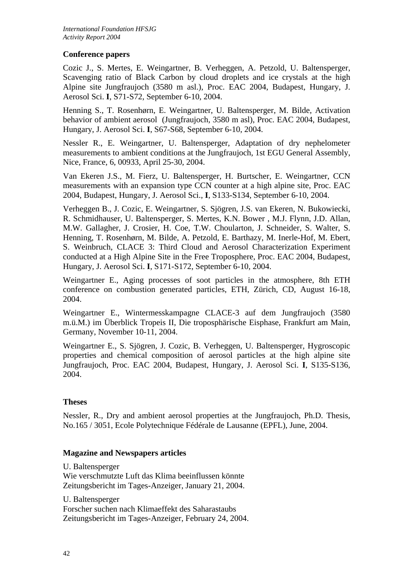## **Conference papers**

Cozic J., S. Mertes, E. Weingartner, B. Verheggen, A. Petzold, U. Baltensperger, Scavenging ratio of Black Carbon by cloud droplets and ice crystals at the high Alpine site Jungfraujoch (3580 m asl.), Proc. EAC 2004, Budapest, Hungary, J. Aerosol Sci. **I**, S71-S72, September 6-10, 2004.

Henning S., T. Rosenhørn, E. Weingartner, U. Baltensperger, M. Bilde, Activation behavior of ambient aerosol (Jungfraujoch, 3580 m asl), Proc. EAC 2004, Budapest, Hungary, J. Aerosol Sci. **I**, S67-S68, September 6-10, 2004.

Nessler R., E. Weingartner, U. Baltensperger, Adaptation of dry nephelometer measurements to ambient conditions at the Jungfraujoch, 1st EGU General Assembly, Nice, France, 6, 00933, April 25-30, 2004.

Van Ekeren J.S., M. Fierz, U. Baltensperger, H. Burtscher, E. Weingartner, CCN measurements with an expansion type CCN counter at a high alpine site, Proc. EAC 2004, Budapest, Hungary, J. Aerosol Sci., **I**, S133-S134, September 6-10, 2004.

Verheggen B., J. Cozic, E. Weingartner, S. Sjögren, J.S. van Ekeren, N. Bukowiecki, R. Schmidhauser, U. Baltensperger, S. Mertes, K.N. Bower , M.J. Flynn, J.D. Allan, M.W. Gallagher, J. Crosier, H. Coe, T.W. Choularton, J. Schneider, S. Walter, S. Henning, T. Rosenhørn, M. Bilde, A. Petzold, E. Barthazy, M. Inerle-Hof, M. Ebert, S. Weinbruch, CLACE 3: Third Cloud and Aerosol Characterization Experiment conducted at a High Alpine Site in the Free Troposphere, Proc. EAC 2004, Budapest, Hungary, J. Aerosol Sci. **I**, S171-S172, September 6-10, 2004.

Weingartner E., Aging processes of soot particles in the atmosphere, 8th ETH conference on combustion generated particles, ETH, Zürich, CD, August 16-18, 2004.

Weingartner E., Wintermesskampagne CLACE-3 auf dem Jungfraujoch (3580 m.ü.M.) im Überblick Tropeis II, Die troposphärische Eisphase, Frankfurt am Main, Germany, November 10-11, 2004.

Weingartner E., S. Sjögren, J. Cozic, B. Verheggen, U. Baltensperger, Hygroscopic properties and chemical composition of aerosol particles at the high alpine site Jungfraujoch, Proc. EAC 2004, Budapest, Hungary, J. Aerosol Sci. **I**, S135-S136, 2004.

## **Theses**

Nessler, R., Dry and ambient aerosol properties at the Jungfraujoch, Ph.D. Thesis, No.165 / 3051, Ecole Polytechnique Fédérale de Lausanne (EPFL), June, 2004.

## **Magazine and Newspapers articles**

U. Baltensperger Wie verschmutzte Luft das Klima beeinflussen könnte Zeitungsbericht im Tages-Anzeiger, January 21, 2004.

U. Baltensperger Forscher suchen nach Klimaeffekt des Saharastaubs Zeitungsbericht im Tages-Anzeiger, February 24, 2004.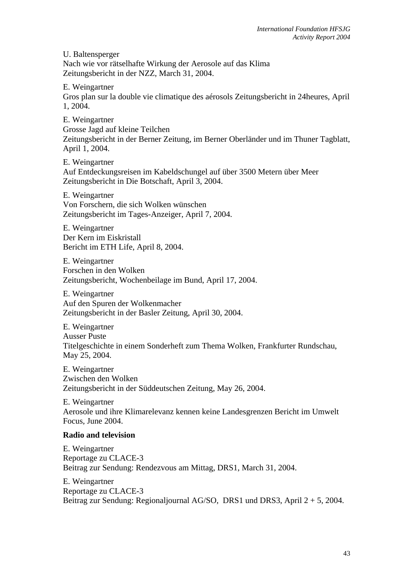U. Baltensperger Nach wie vor rätselhafte Wirkung der Aerosole auf das Klima Zeitungsbericht in der NZZ, March 31, 2004.

E. Weingartner Gros plan sur la double vie climatique des aérosols Zeitungsbericht in 24heures, April 1, 2004.

E. Weingartner Grosse Jagd auf kleine Teilchen Zeitungsbericht in der Berner Zeitung, im Berner Oberländer und im Thuner Tagblatt, April 1, 2004.

E. Weingartner Auf Entdeckungsreisen im Kabeldschungel auf über 3500 Metern über Meer Zeitungsbericht in Die Botschaft, April 3, 2004.

E. Weingartner Von Forschern, die sich Wolken wünschen Zeitungsbericht im Tages-Anzeiger, April 7, 2004.

E. Weingartner Der Kern im Eiskristall Bericht im ETH Life, April 8, 2004.

E. Weingartner Forschen in den Wolken Zeitungsbericht, Wochenbeilage im Bund, April 17, 2004.

E. Weingartner Auf den Spuren der Wolkenmacher Zeitungsbericht in der Basler Zeitung, April 30, 2004.

E. Weingartner Ausser Puste Titelgeschichte in einem Sonderheft zum Thema Wolken, Frankfurter Rundschau, May 25, 2004.

E. Weingartner Zwischen den Wolken Zeitungsbericht in der Süddeutschen Zeitung, May 26, 2004.

E. Weingartner Aerosole und ihre Klimarelevanz kennen keine Landesgrenzen Bericht im Umwelt Focus, June 2004.

# **Radio and television**

E. Weingartner Reportage zu CLACE-3 Beitrag zur Sendung: Rendezvous am Mittag, DRS1, March 31, 2004.

E. Weingartner Reportage zu CLACE-3 Beitrag zur Sendung: Regionaljournal AG/SO, DRS1 und DRS3, April 2 + 5, 2004.